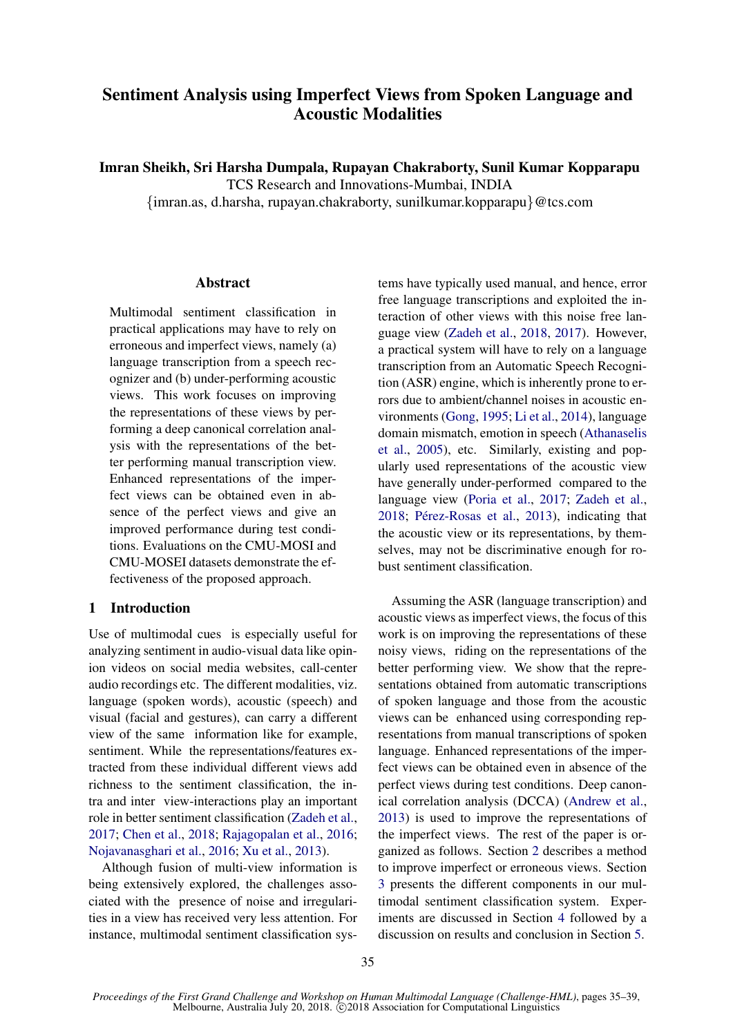# Sentiment Analysis using Imperfect Views from Spoken Language and Acoustic Modalities

Imran Sheikh, Sri Harsha Dumpala, Rupayan Chakraborty, Sunil Kumar Kopparapu

TCS Research and Innovations-Mumbai, INDIA

{imran.as, d.harsha, rupayan.chakraborty, sunilkumar.kopparapu}@tcs.com

# **Abstract**

Multimodal sentiment classification in practical applications may have to rely on erroneous and imperfect views, namely (a) language transcription from a speech recognizer and (b) under-performing acoustic views. This work focuses on improving the representations of these views by performing a deep canonical correlation analysis with the representations of the better performing manual transcription view. Enhanced representations of the imperfect views can be obtained even in absence of the perfect views and give an improved performance during test conditions. Evaluations on the CMU-MOSI and CMU-MOSEI datasets demonstrate the effectiveness of the proposed approach.

# 1 Introduction

Use of multimodal cues is especially useful for analyzing sentiment in audio-visual data like opinion videos on social media websites, call-center audio recordings etc. The different modalities, viz. language (spoken words), acoustic (speech) and visual (facial and gestures), can carry a different view of the same information like for example, sentiment. While the representations/features extracted from these individual different views add richness to the sentiment classification, the intra and inter view-interactions play an important role in better sentiment classification [\(Zadeh et al.,](#page-4-0) [2017;](#page-4-0) [Chen et al.,](#page-4-1) [2018;](#page-4-1) [Rajagopalan et al.,](#page-4-2) [2016;](#page-4-2) [Nojavanasghari et al.,](#page-4-3) [2016;](#page-4-3) [Xu et al.,](#page-4-4) [2013\)](#page-4-4).

Although fusion of multi-view information is being extensively explored, the challenges associated with the presence of noise and irregularities in a view has received very less attention. For instance, multimodal sentiment classification systems have typically used manual, and hence, error free language transcriptions and exploited the interaction of other views with this noise free language view [\(Zadeh et al.,](#page-4-5) [2018,](#page-4-5) [2017\)](#page-4-0). However, a practical system will have to rely on a language transcription from an Automatic Speech Recognition (ASR) engine, which is inherently prone to errors due to ambient/channel noises in acoustic environments [\(Gong,](#page-4-6) [1995;](#page-4-6) [Li et al.,](#page-4-7) [2014\)](#page-4-7), language domain mismatch, emotion in speech [\(Athanaselis](#page-4-8) [et al.,](#page-4-8) [2005\)](#page-4-8), etc. Similarly, existing and popularly used representations of the acoustic view have generally under-performed compared to the language view [\(Poria et al.,](#page-4-9) [2017;](#page-4-9) [Zadeh et al.,](#page-4-5) [2018;](#page-4-5) Pérez-Rosas et al., [2013\)](#page-4-10), indicating that the acoustic view or its representations, by themselves, may not be discriminative enough for robust sentiment classification.

Assuming the ASR (language transcription) and acoustic views as imperfect views, the focus of this work is on improving the representations of these noisy views, riding on the representations of the better performing view. We show that the representations obtained from automatic transcriptions of spoken language and those from the acoustic views can be enhanced using corresponding representations from manual transcriptions of spoken language. Enhanced representations of the imperfect views can be obtained even in absence of the perfect views during test conditions. Deep canonical correlation analysis (DCCA) [\(Andrew et al.,](#page-4-11) [2013\)](#page-4-11) is used to improve the representations of the imperfect views. The rest of the paper is organized as follows. Section [2](#page-1-0) describes a method to improve imperfect or erroneous views. Section [3](#page-1-1) presents the different components in our multimodal sentiment classification system. Experiments are discussed in Section [4](#page-2-0) followed by a discussion on results and conclusion in Section [5.](#page-3-0)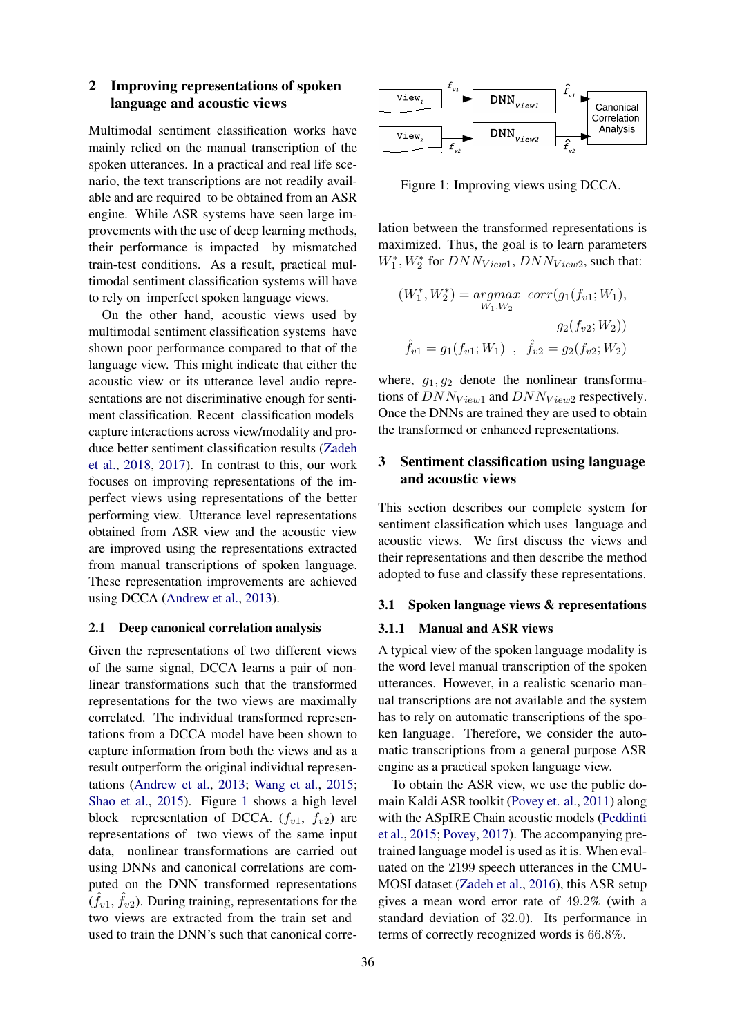# <span id="page-1-0"></span>2 Improving representations of spoken language and acoustic views

Multimodal sentiment classification works have mainly relied on the manual transcription of the spoken utterances. In a practical and real life scenario, the text transcriptions are not readily available and are required to be obtained from an ASR engine. While ASR systems have seen large improvements with the use of deep learning methods, their performance is impacted by mismatched train-test conditions. As a result, practical multimodal sentiment classification systems will have to rely on imperfect spoken language views.

On the other hand, acoustic views used by multimodal sentiment classification systems have shown poor performance compared to that of the language view. This might indicate that either the acoustic view or its utterance level audio representations are not discriminative enough for sentiment classification. Recent classification models capture interactions across view/modality and produce better sentiment classification results [\(Zadeh](#page-4-5) [et al.,](#page-4-5) [2018,](#page-4-5) [2017\)](#page-4-0). In contrast to this, our work focuses on improving representations of the imperfect views using representations of the better performing view. Utterance level representations obtained from ASR view and the acoustic view are improved using the representations extracted from manual transcriptions of spoken language. These representation improvements are achieved using DCCA [\(Andrew et al.,](#page-4-11) [2013\)](#page-4-11).

# <span id="page-1-4"></span>2.1 Deep canonical correlation analysis

Given the representations of two different views of the same signal, DCCA learns a pair of nonlinear transformations such that the transformed representations for the two views are maximally correlated. The individual transformed representations from a DCCA model have been shown to capture information from both the views and as a result outperform the original individual representations [\(Andrew et al.,](#page-4-11) [2013;](#page-4-11) [Wang et al.,](#page-4-12) [2015;](#page-4-12) [Shao et al.,](#page-4-13) [2015\)](#page-4-13). Figure [1](#page-1-2) shows a high level block representation of DCCA.  $(f_{v1}, f_{v2})$  are representations of two views of the same input data, nonlinear transformations are carried out using DNNs and canonical correlations are computed on the DNN transformed representations  $(\hat{f}_{v1}, \hat{f}_{v2})$ . During training, representations for the two views are extracted from the train set and used to train the DNN's such that canonical corre-



<span id="page-1-2"></span>Figure 1: Improving views using DCCA.

lation between the transformed representations is maximized. Thus, the goal is to learn parameters  $W_{1}^{\ast}, W_{2}^{\ast}$  for  $DNN_{View1},$   $DNN_{View2},$  such that:

$$
(W_1^*, W_2^*) = \underset{W_1, W_2}{argmax} \ corr(g_1(f_{v1}; W_1),
$$

$$
g_2(f_{v2}; W_2))
$$

$$
\hat{f}_{v1} = g_1(f_{v1}; W_1) , \quad \hat{f}_{v2} = g_2(f_{v2}; W_2)
$$

where,  $g_1, g_2$  denote the nonlinear transformations of  $DNN_{View1}$  and  $DNN_{View2}$  respectively. Once the DNNs are trained they are used to obtain the transformed or enhanced representations.

# <span id="page-1-1"></span>3 Sentiment classification using language and acoustic views

This section describes our complete system for sentiment classification which uses language and acoustic views. We first discuss the views and their representations and then describe the method adopted to fuse and classify these representations.

# <span id="page-1-3"></span>3.1 Spoken language views & representations

## 3.1.1 Manual and ASR views

A typical view of the spoken language modality is the word level manual transcription of the spoken utterances. However, in a realistic scenario manual transcriptions are not available and the system has to rely on automatic transcriptions of the spoken language. Therefore, we consider the automatic transcriptions from a general purpose ASR engine as a practical spoken language view.

To obtain the ASR view, we use the public domain Kaldi ASR toolkit [\(Povey et. al.,](#page-4-14) [2011\)](#page-4-14) along with the ASpIRE Chain acoustic models [\(Peddinti](#page-4-15) [et al.,](#page-4-15) [2015;](#page-4-15) [Povey,](#page-4-16) [2017\)](#page-4-16). The accompanying pretrained language model is used as it is. When evaluated on the 2199 speech utterances in the CMU-MOSI dataset [\(Zadeh et al.,](#page-4-17) [2016\)](#page-4-17), this ASR setup gives a mean word error rate of 49.2% (with a standard deviation of 32.0). Its performance in terms of correctly recognized words is 66.8%.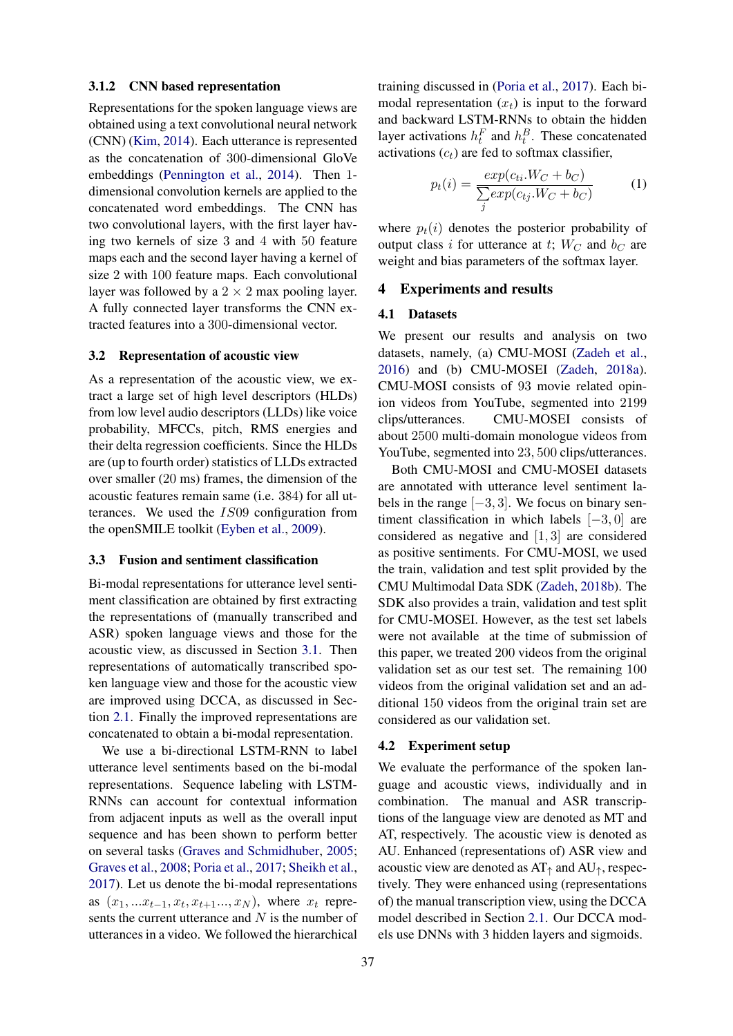# 3.1.2 CNN based representation

Representations for the spoken language views are obtained using a text convolutional neural network (CNN) [\(Kim,](#page-4-18) [2014\)](#page-4-18). Each utterance is represented as the concatenation of 300-dimensional GloVe embeddings [\(Pennington et al.,](#page-4-19) [2014\)](#page-4-19). Then 1 dimensional convolution kernels are applied to the concatenated word embeddings. The CNN has two convolutional layers, with the first layer having two kernels of size 3 and 4 with 50 feature maps each and the second layer having a kernel of size 2 with 100 feature maps. Each convolutional layer was followed by a  $2 \times 2$  max pooling layer. A fully connected layer transforms the CNN extracted features into a 300-dimensional vector.

# 3.2 Representation of acoustic view

As a representation of the acoustic view, we extract a large set of high level descriptors (HLDs) from low level audio descriptors (LLDs) like voice probability, MFCCs, pitch, RMS energies and their delta regression coefficients. Since the HLDs are (up to fourth order) statistics of LLDs extracted over smaller (20 ms) frames, the dimension of the acoustic features remain same (i.e. 384) for all utterances. We used the IS09 configuration from the openSMILE toolkit [\(Eyben et al.,](#page-4-20) [2009\)](#page-4-20).

## 3.3 Fusion and sentiment classification

Bi-modal representations for utterance level sentiment classification are obtained by first extracting the representations of (manually transcribed and ASR) spoken language views and those for the acoustic view, as discussed in Section [3.1.](#page-1-3) Then representations of automatically transcribed spoken language view and those for the acoustic view are improved using DCCA, as discussed in Section [2.1.](#page-1-4) Finally the improved representations are concatenated to obtain a bi-modal representation.

We use a bi-directional LSTM-RNN to label utterance level sentiments based on the bi-modal representations. Sequence labeling with LSTM-RNNs can account for contextual information from adjacent inputs as well as the overall input sequence and has been shown to perform better on several tasks [\(Graves and Schmidhuber,](#page-4-21) [2005;](#page-4-21) [Graves et al.,](#page-4-22) [2008;](#page-4-22) [Poria et al.,](#page-4-9) [2017;](#page-4-9) [Sheikh et al.,](#page-4-23) [2017\)](#page-4-23). Let us denote the bi-modal representations as  $(x_1, ... x_{t-1}, x_t, x_{t+1}..., x_N)$ , where  $x_t$  represents the current utterance and  $N$  is the number of utterances in a video. We followed the hierarchical

training discussed in [\(Poria et al.,](#page-4-9) [2017\)](#page-4-9). Each bimodal representation  $(x_t)$  is input to the forward and backward LSTM-RNNs to obtain the hidden layer activations  $h_t^F$  and  $h_t^B$ . These concatenated activations  $(c_t)$  are fed to softmax classifier,

$$
p_t(i) = \frac{exp(c_{ti}.W_C + b_C)}{\sum_j exp(c_{tj}.W_C + b_C)}
$$
(1)

where  $p_t(i)$  denotes the posterior probability of output class i for utterance at t;  $W_C$  and  $b_C$  are weight and bias parameters of the softmax layer.

#### <span id="page-2-0"></span>4 Experiments and results

# 4.1 Datasets

We present our results and analysis on two datasets, namely, (a) CMU-MOSI [\(Zadeh et al.,](#page-4-17) [2016\)](#page-4-17) and (b) CMU-MOSEI [\(Zadeh,](#page-4-24) [2018a\)](#page-4-24). CMU-MOSI consists of 93 movie related opinion videos from YouTube, segmented into 2199 clips/utterances. CMU-MOSEI consists of about 2500 multi-domain monologue videos from YouTube, segmented into 23, 500 clips/utterances.

Both CMU-MOSI and CMU-MOSEI datasets are annotated with utterance level sentiment labels in the range  $[-3, 3]$ . We focus on binary sentiment classification in which labels [−3, 0] are considered as negative and [1, 3] are considered as positive sentiments. For CMU-MOSI, we used the train, validation and test split provided by the CMU Multimodal Data SDK [\(Zadeh,](#page-4-25) [2018b\)](#page-4-25). The SDK also provides a train, validation and test split for CMU-MOSEI. However, as the test set labels were not available at the time of submission of this paper, we treated 200 videos from the original validation set as our test set. The remaining 100 videos from the original validation set and an additional 150 videos from the original train set are considered as our validation set.

# 4.2 Experiment setup

We evaluate the performance of the spoken language and acoustic views, individually and in combination. The manual and ASR transcriptions of the language view are denoted as MT and AT, respectively. The acoustic view is denoted as AU. Enhanced (representations of) ASR view and acoustic view are denoted as  $AT<sub>†</sub>$  and  $AU<sub>†</sub>$ , respectively. They were enhanced using (representations of) the manual transcription view, using the DCCA model described in Section [2.1.](#page-1-4) Our DCCA models use DNNs with 3 hidden layers and sigmoids.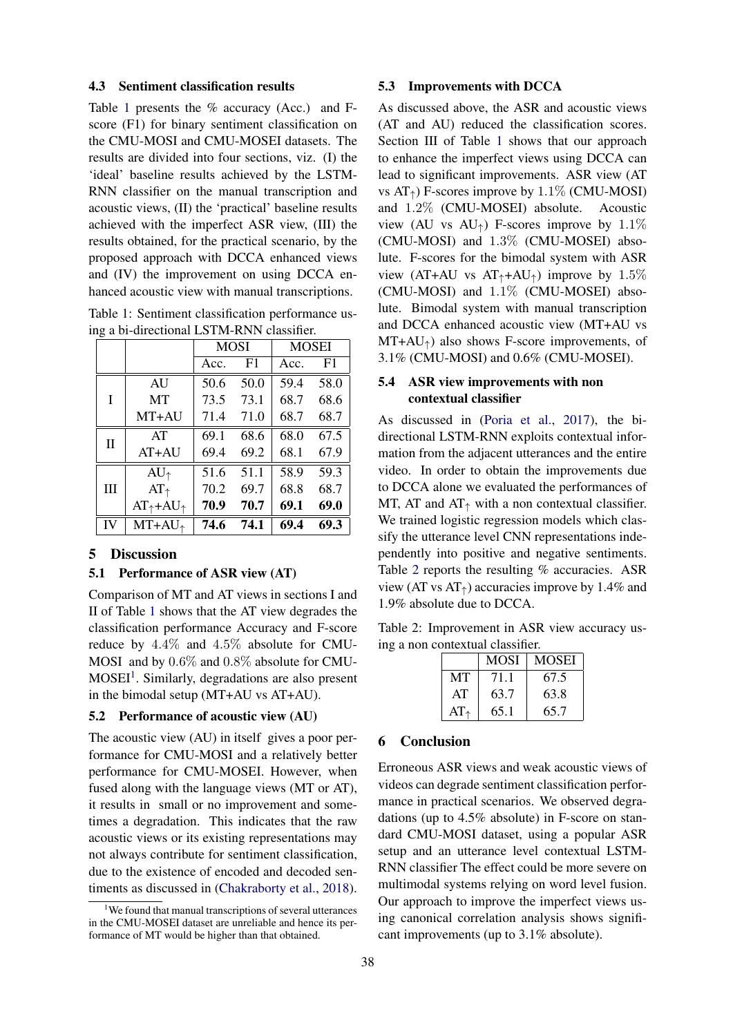## 4.3 Sentiment classification results

Table [1](#page-3-1) presents the % accuracy (Acc.) and Fscore (F1) for binary sentiment classification on the CMU-MOSI and CMU-MOSEI datasets. The results are divided into four sections, viz. (I) the 'ideal' baseline results achieved by the LSTM-RNN classifier on the manual transcription and acoustic views, (II) the 'practical' baseline results achieved with the imperfect ASR view, (III) the results obtained, for the practical scenario, by the proposed approach with DCCA enhanced views and (IV) the improvement on using DCCA enhanced acoustic view with manual transcriptions.

<span id="page-3-1"></span>Table 1: Sentiment classification performance using a bi-directional LSTM-RNN classifier.

|          |                               | <b>MOSI</b> |      | <b>MOSEI</b> |      |
|----------|-------------------------------|-------------|------|--------------|------|
|          |                               | Acc.        | F1   | Acc.         | F1   |
| T        | <b>AU</b>                     | 50.6        | 50.0 | 59.4         | 58.0 |
|          | <b>MT</b>                     | 73.5        | 73.1 | 68.7         | 68.6 |
|          | $MT+AU$                       | 71.4        | 71.0 | 68.7         | 68.7 |
| $\rm II$ | AT                            | 69.1        | 68.6 | 68.0         | 67.5 |
|          | $AT+AU$                       | 69.4        | 69.2 | 68.1         | 67.9 |
| Ш        | $AU_{\uparrow}$               | 51.6        | 51.1 | 58.9         | 59.3 |
|          | $AT_{\uparrow}$               | 70.2        | 69.7 | 68.8         | 68.7 |
|          | $AT_{\uparrow}+AU_{\uparrow}$ | 70.9        | 70.7 | 69.1         | 69.0 |
| IV       | $MT+AU+$                      | 74.6        | 74.1 | 69.4         | 69.3 |

## <span id="page-3-0"></span>5 Discussion

## 5.1 Performance of ASR view (AT)

Comparison of MT and AT views in sections I and II of Table [1](#page-3-1) shows that the AT view degrades the classification performance Accuracy and F-score reduce by 4.4% and 4.5% absolute for CMU-MOSI and by 0.6% and 0.8% absolute for CMU-MOSEI<sup>[1](#page-3-2)</sup>. Similarly, degradations are also present in the bimodal setup (MT+AU vs AT+AU).

## 5.2 Performance of acoustic view (AU)

The acoustic view (AU) in itself gives a poor performance for CMU-MOSI and a relatively better performance for CMU-MOSEI. However, when fused along with the language views (MT or AT), it results in small or no improvement and sometimes a degradation. This indicates that the raw acoustic views or its existing representations may not always contribute for sentiment classification, due to the existence of encoded and decoded sentiments as discussed in [\(Chakraborty et al.,](#page-4-26) [2018\)](#page-4-26).

## 5.3 Improvements with DCCA

As discussed above, the ASR and acoustic views (AT and AU) reduced the classification scores. Section III of Table [1](#page-3-1) shows that our approach to enhance the imperfect views using DCCA can lead to significant improvements. ASR view (AT vs  $AT_{\uparrow}$ ) F-scores improve by 1.1% (CMU-MOSI) and 1.2% (CMU-MOSEI) absolute. Acoustic view (AU vs  $AU_{\uparrow}$ ) F-scores improve by 1.1% (CMU-MOSI) and 1.3% (CMU-MOSEI) absolute. F-scores for the bimodal system with ASR view (AT+AU vs  $AT_+ + AU_+$ ) improve by 1.5% (CMU-MOSI) and 1.1% (CMU-MOSEI) absolute. Bimodal system with manual transcription and DCCA enhanced acoustic view (MT+AU vs  $MT+AU<sub>†</sub>$ ) also shows F-score improvements, of 3.1% (CMU-MOSI) and 0.6% (CMU-MOSEI).

# 5.4 ASR view improvements with non contextual classifier

As discussed in [\(Poria et al.,](#page-4-9) [2017\)](#page-4-9), the bidirectional LSTM-RNN exploits contextual information from the adjacent utterances and the entire video. In order to obtain the improvements due to DCCA alone we evaluated the performances of MT, AT and AT $<sub>†</sub>$  with a non contextual classifier.</sub> We trained logistic regression models which classify the utterance level CNN representations independently into positive and negative sentiments. Table [2](#page-3-3) reports the resulting % accuracies. ASR view (AT vs  $AT_{\uparrow}$ ) accuracies improve by 1.4% and 1.9% absolute due to DCCA.

Table 2: Improvement in ASR view accuracy using a non contextual classifier.

<span id="page-3-3"></span>

|                 | <b>MOSI</b> | <b>MOSEI</b> |
|-----------------|-------------|--------------|
| MТ              | 71.1        | 67.5         |
| AT              | 63.7        | 63.8         |
| $AT_{\uparrow}$ | 65.1        | 65.7         |

#### 6 Conclusion

Erroneous ASR views and weak acoustic views of videos can degrade sentiment classification performance in practical scenarios. We observed degradations (up to 4.5% absolute) in F-score on standard CMU-MOSI dataset, using a popular ASR setup and an utterance level contextual LSTM-RNN classifier The effect could be more severe on multimodal systems relying on word level fusion. Our approach to improve the imperfect views using canonical correlation analysis shows significant improvements (up to 3.1% absolute).

<span id="page-3-2"></span><sup>&</sup>lt;sup>1</sup>We found that manual transcriptions of several utterances in the CMU-MOSEI dataset are unreliable and hence its performance of MT would be higher than that obtained.